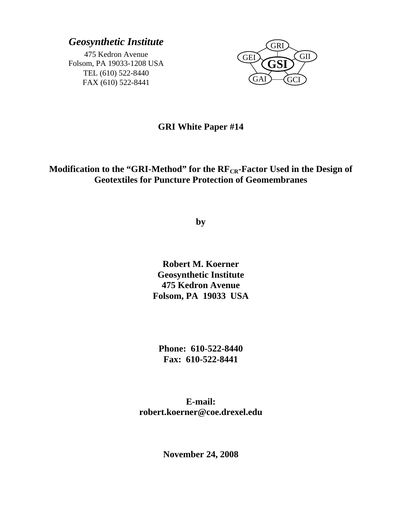# *Geosynthetic Institute*

475 Kedron Avenue Folsom, PA 19033-1208 USA TEL (610) 522-8440 FAX (610) 522-8441



## **GRI White Paper #14**

## Modification to the "GRI-Method" for the RF<sub>CR</sub>-Factor Used in the Design of **Geotextiles for Puncture Protection of Geomembranes**

**by** 

**Robert M. Koerner Geosynthetic Institute 475 Kedron Avenue Folsom, PA 19033 USA** 

**Phone: 610-522-8440 Fax: 610-522-8441** 

**E-mail: robert.koerner@coe.drexel.edu** 

**November 24, 2008**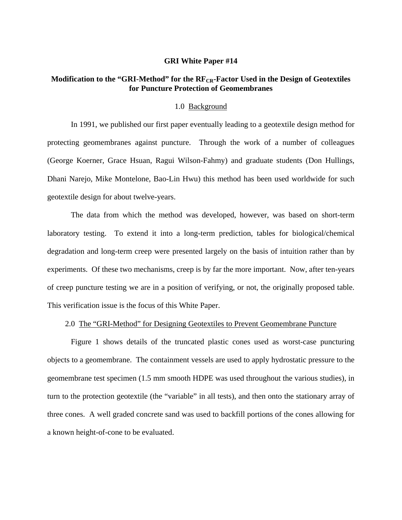#### **GRI White Paper #14**

### Modification to the "GRI-Method" for the RF<sub>CR</sub>-Factor Used in the Design of Geotextiles **for Puncture Protection of Geomembranes**

#### 1.0 Background

 In 1991, we published our first paper eventually leading to a geotextile design method for protecting geomembranes against puncture. Through the work of a number of colleagues (George Koerner, Grace Hsuan, Ragui Wilson-Fahmy) and graduate students (Don Hullings, Dhani Narejo, Mike Montelone, Bao-Lin Hwu) this method has been used worldwide for such geotextile design for about twelve-years.

 The data from which the method was developed, however, was based on short-term laboratory testing. To extend it into a long-term prediction, tables for biological/chemical degradation and long-term creep were presented largely on the basis of intuition rather than by experiments. Of these two mechanisms, creep is by far the more important. Now, after ten-years of creep puncture testing we are in a position of verifying, or not, the originally proposed table. This verification issue is the focus of this White Paper.

#### 2.0 The "GRI-Method" for Designing Geotextiles to Prevent Geomembrane Puncture

 Figure 1 shows details of the truncated plastic cones used as worst-case puncturing objects to a geomembrane. The containment vessels are used to apply hydrostatic pressure to the geomembrane test specimen (1.5 mm smooth HDPE was used throughout the various studies), in turn to the protection geotextile (the "variable" in all tests), and then onto the stationary array of three cones. A well graded concrete sand was used to backfill portions of the cones allowing for a known height-of-cone to be evaluated.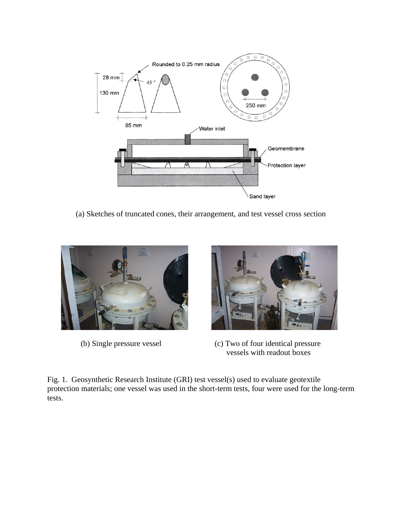

(a) Sketches of truncated cones, their arrangement, and test vessel cross section





 (b) Single pressure vessel (c) Two of four identical pressure vessels with readout boxes

Fig. 1. Geosynthetic Research Institute (GRI) test vessel(s) used to evaluate geotextile protection materials; one vessel was used in the short-term tests, four were used for the long-term tests.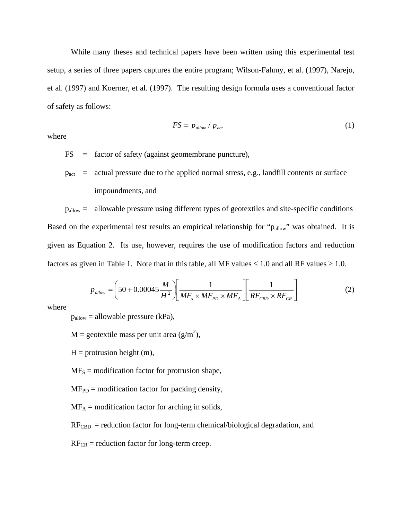While many theses and technical papers have been written using this experimental test setup, a series of three papers captures the entire program; Wilson-Fahmy, et al. (1997), Narejo, et al. (1997) and Koerner, et al. (1997). The resulting design formula uses a conventional factor of safety as follows:

$$
FS = p_{\text{allow}} / p_{\text{act}} \tag{1}
$$

where

FS = factor of safety (against geomembrane puncture),

 $p_{\text{act}}$  = actual pressure due to the applied normal stress, e.g., landfill contents or surface impoundments, and

 pallow = allowable pressure using different types of geotextiles and site-specific conditions Based on the experimental test results an empirical relationship for "p<sub>allow</sub>" was obtained. It is given as Equation 2. Its use, however, requires the use of modification factors and reduction factors as given in Table 1. Note that in this table, all MF values  $\leq 1.0$  and all RF values  $\geq 1.0$ .

$$
p_{\text{allow}} = \left(50 + 0.00045 \frac{M}{H^2} \right) \left[ \frac{1}{MF_s \times MF_{PD} \times MF_A} \right] \left[ \frac{1}{RF_{CBD} \times RF_{CR}} \right]
$$
(2)

where

 $p_{\text{allow}} = \text{allowable pressure (kPa)}$ ,

 $M =$  geotextile mass per unit area (g/m<sup>2</sup>),

 $H =$  protrusion height (m),

 $MF<sub>S</sub>$  = modification factor for protrusion shape,

 $MF<sub>PD</sub> = modification factor for packing density,$ 

 $MF_A$  = modification factor for arching in solids,

 $RF<sub>CBD</sub>$  = reduction factor for long-term chemical/biological degradation, and

 $RF_{CR}$  = reduction factor for long-term creep.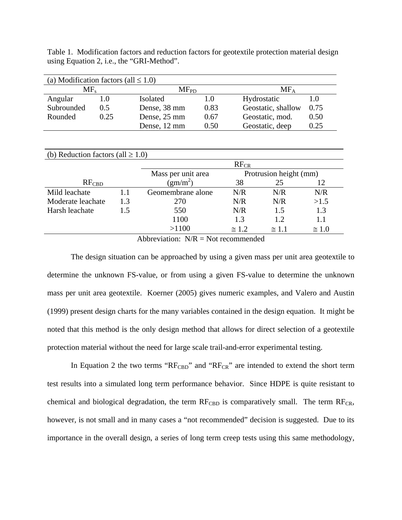Table 1. Modification factors and reduction factors for geotextile protection material design using Equation 2, i.e., the "GRI-Method".

| (a) Modification factors (all $\leq 1.0$ ) |      |              |           |                    |        |  |
|--------------------------------------------|------|--------------|-----------|--------------------|--------|--|
| MF,                                        |      |              | $MF_{PD}$ |                    | $MF_A$ |  |
| Angular                                    |      | Isolated     | 1.0       | Hydrostatic        | 1.0    |  |
| Subrounded                                 | 0.5  | Dense, 38 mm | 0.83      | Geostatic, shallow | 0.75   |  |
| Rounded                                    | 0.25 | Dense, 25 mm | 0.67      | Geostatic, mod.    | 0.50   |  |
|                                            |      | Dense, 12 mm | 0.50      | Geostatic, deep    | 0.25   |  |

| (b) Reduction factors (all $\geq 1.0$ ) |     |                    |               |                        |               |  |
|-----------------------------------------|-----|--------------------|---------------|------------------------|---------------|--|
|                                         |     | $RF_{CR}$          |               |                        |               |  |
|                                         |     | Mass per unit area |               | Protrusion height (mm) |               |  |
| $RF_{\mathrm{CBD}}$                     |     | $(gm/m^2)$         | 38            | 25                     | 12            |  |
| Mild leachate                           | 1.1 | Geomembrane alone  | N/R           | N/R                    | N/R           |  |
| Moderate leachate                       | 1.3 | 270                | N/R           | N/R                    | >1.5          |  |
| Harsh leachate                          | 1.5 | 550                | N/R           | 1.5                    | 1.3           |  |
|                                         |     | 1100               | 1.3           | 1.2.                   | 1.1           |  |
|                                         |     | >1100              | $\approx 1.2$ | $\approx 1.1$          | $\approx 1.0$ |  |

Abbreviation:  $N/R = Not recommended$ 

 The design situation can be approached by using a given mass per unit area geotextile to determine the unknown FS-value, or from using a given FS-value to determine the unknown mass per unit area geotextile. Koerner (2005) gives numeric examples, and Valero and Austin (1999) present design charts for the many variables contained in the design equation. It might be noted that this method is the only design method that allows for direct selection of a geotextile protection material without the need for large scale trail-and-error experimental testing.

In Equation 2 the two terms " $R_{\text{CBD}}$ " and " $R_{\text{CER}}$ " are intended to extend the short term test results into a simulated long term performance behavior. Since HDPE is quite resistant to chemical and biological degradation, the term  $RF_{\text{CBD}}$  is comparatively small. The term  $RF_{\text{CR}}$ , however, is not small and in many cases a "not recommended" decision is suggested. Due to its importance in the overall design, a series of long term creep tests using this same methodology,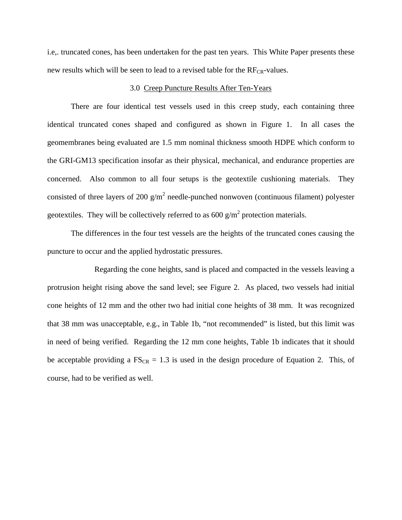i.e,. truncated cones, has been undertaken for the past ten years. This White Paper presents these new results which will be seen to lead to a revised table for the  $RF_{CR}$ -values.

#### 3.0 Creep Puncture Results After Ten-Years

 There are four identical test vessels used in this creep study, each containing three identical truncated cones shaped and configured as shown in Figure 1. In all cases the geomembranes being evaluated are 1.5 mm nominal thickness smooth HDPE which conform to the GRI-GM13 specification insofar as their physical, mechanical, and endurance properties are concerned. Also common to all four setups is the geotextile cushioning materials. They consisted of three layers of 200  $g/m^2$  needle-punched nonwoven (continuous filament) polyester geotextiles. They will be collectively referred to as  $600 \text{ g/m}^2$  protection materials.

 The differences in the four test vessels are the heights of the truncated cones causing the puncture to occur and the applied hydrostatic pressures.

 Regarding the cone heights, sand is placed and compacted in the vessels leaving a protrusion height rising above the sand level; see Figure 2. As placed, two vessels had initial cone heights of 12 mm and the other two had initial cone heights of 38 mm. It was recognized that 38 mm was unacceptable, e.g., in Table 1b, "not recommended" is listed, but this limit was in need of being verified. Regarding the 12 mm cone heights, Table 1b indicates that it should be acceptable providing a  $FS_{CR} = 1.3$  is used in the design procedure of Equation 2. This, of course, had to be verified as well.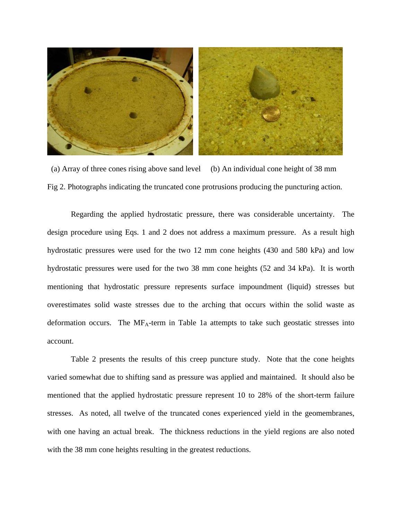

 (a) Array of three cones rising above sand level (b) An individual cone height of 38 mm Fig 2. Photographs indicating the truncated cone protrusions producing the puncturing action.

 Regarding the applied hydrostatic pressure, there was considerable uncertainty. The design procedure using Eqs. 1 and 2 does not address a maximum pressure. As a result high hydrostatic pressures were used for the two 12 mm cone heights (430 and 580 kPa) and low hydrostatic pressures were used for the two 38 mm cone heights (52 and 34 kPa). It is worth mentioning that hydrostatic pressure represents surface impoundment (liquid) stresses but overestimates solid waste stresses due to the arching that occurs within the solid waste as deformation occurs. The  $MF_A$ -term in Table 1a attempts to take such geostatic stresses into account.

 Table 2 presents the results of this creep puncture study. Note that the cone heights varied somewhat due to shifting sand as pressure was applied and maintained. It should also be mentioned that the applied hydrostatic pressure represent 10 to 28% of the short-term failure stresses. As noted, all twelve of the truncated cones experienced yield in the geomembranes, with one having an actual break. The thickness reductions in the yield regions are also noted with the 38 mm cone heights resulting in the greatest reductions.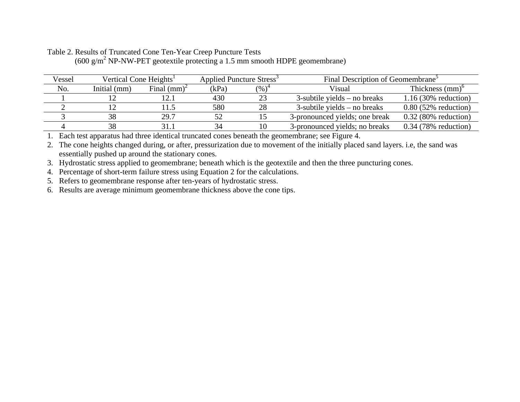| Vessel | Vertical Cone Heights <sup>1</sup> |                | Applied Puncture Stress <sup>3</sup> |          | Final Description of Geomembrane <sup>3</sup> |                        |  |
|--------|------------------------------------|----------------|--------------------------------------|----------|-----------------------------------------------|------------------------|--|
| No.    | Initial (mm)                       | Final $(mm)^2$ | (kPa)                                | $(\%)^4$ | Visual                                        | Thickness $(mm)^{0}$   |  |
|        |                                    |                | 430                                  |          | $3$ -subtile yields – no breaks               | $1.16(30\%$ reduction) |  |
|        |                                    |                | 580                                  | 28       | $3$ -subtile yields – no breaks               | $0.80$ (52% reduction) |  |
|        |                                    | 29.7           | 52                                   |          | 3-pronounced yields; one break                | $0.32$ (80% reduction) |  |
|        |                                    |                |                                      | 10       | 3-pronounced yields; no breaks                | $0.34$ (78% reduction) |  |

### Table 2. Results of Truncated Cone Ten-Year Creep Puncture Tests  $(600 \text{ g/m}^2 \text{ NP-NW-PET geotextile protecting a 1.5 mm smooth HDF geometric.}$

1. Each test apparatus had three identical truncated cones beneath the geomembrane; see Figure 4.

2. The cone heights changed during, or after, pressurization due to movement of the initially placed sand layers. i.e, the sand was essentially pushed up around the stationary cones.

3. Hydrostatic stress applied to geomembrane; beneath which is the geotextile and then the three puncturing cones.

4. Percentage of short-term failure stress using Equation 2 for the calculations.

5. Refers to geomembrane response after ten-years of hydrostatic stress.

6. Results are average minimum geomembrane thickness above the cone tips.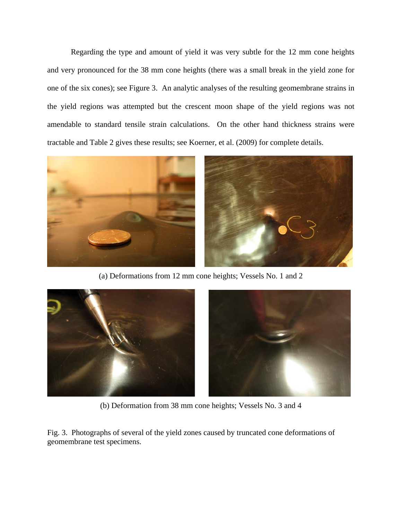Regarding the type and amount of yield it was very subtle for the 12 mm cone heights and very pronounced for the 38 mm cone heights (there was a small break in the yield zone for one of the six cones); see Figure 3. An analytic analyses of the resulting geomembrane strains in the yield regions was attempted but the crescent moon shape of the yield regions was not amendable to standard tensile strain calculations. On the other hand thickness strains were tractable and Table 2 gives these results; see Koerner, et al. (2009) for complete details.



(a) Deformations from 12 mm cone heights; Vessels No. 1 and 2



(b) Deformation from 38 mm cone heights; Vessels No. 3 and 4

Fig. 3. Photographs of several of the yield zones caused by truncated cone deformations of geomembrane test specimens.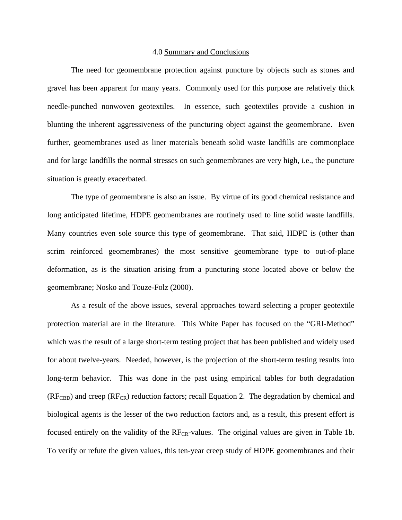#### 4.0 Summary and Conclusions

 The need for geomembrane protection against puncture by objects such as stones and gravel has been apparent for many years. Commonly used for this purpose are relatively thick needle-punched nonwoven geotextiles. In essence, such geotextiles provide a cushion in blunting the inherent aggressiveness of the puncturing object against the geomembrane. Even further, geomembranes used as liner materials beneath solid waste landfills are commonplace and for large landfills the normal stresses on such geomembranes are very high, i.e., the puncture situation is greatly exacerbated.

 The type of geomembrane is also an issue. By virtue of its good chemical resistance and long anticipated lifetime, HDPE geomembranes are routinely used to line solid waste landfills. Many countries even sole source this type of geomembrane. That said, HDPE is (other than scrim reinforced geomembranes) the most sensitive geomembrane type to out-of-plane deformation, as is the situation arising from a puncturing stone located above or below the geomembrane; Nosko and Touze-Folz (2000).

 As a result of the above issues, several approaches toward selecting a proper geotextile protection material are in the literature. This White Paper has focused on the "GRI-Method" which was the result of a large short-term testing project that has been published and widely used for about twelve-years. Needed, however, is the projection of the short-term testing results into long-term behavior. This was done in the past using empirical tables for both degradation  $(RF_{CBD})$  and creep  $(RF_{CR})$  reduction factors; recall Equation 2. The degradation by chemical and biological agents is the lesser of the two reduction factors and, as a result, this present effort is focused entirely on the validity of the  $RF_{CR}$ -values. The original values are given in Table 1b. To verify or refute the given values, this ten-year creep study of HDPE geomembranes and their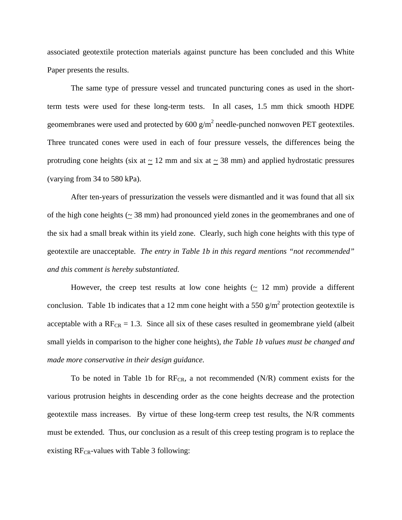associated geotextile protection materials against puncture has been concluded and this White Paper presents the results.

 The same type of pressure vessel and truncated puncturing cones as used in the shortterm tests were used for these long-term tests. In all cases, 1.5 mm thick smooth HDPE geomembranes were used and protected by  $600 \text{ g/m}^2$  needle-punched nonwoven PET geotextiles. Three truncated cones were used in each of four pressure vessels, the differences being the protruding cone heights (six at  $\sim$  12 mm and six at  $\sim$  38 mm) and applied hydrostatic pressures (varying from 34 to 580 kPa).

 After ten-years of pressurization the vessels were dismantled and it was found that all six of the high cone heights ( $\sim$  38 mm) had pronounced yield zones in the geomembranes and one of the six had a small break within its yield zone. Clearly, such high cone heights with this type of geotextile are unacceptable. *The entry in Table 1b in this regard mentions "not recommended" and this comment is hereby substantiated.*

However, the creep test results at low cone heights  $( \simeq 12 \text{ mm})$  provide a different conclusion. Table 1b indicates that a 12 mm cone height with a 550  $\frac{g}{m^2}$  protection geotextile is acceptable with a  $RF_{CR} = 1.3$ . Since all six of these cases resulted in geomembrane yield (albeit small yields in comparison to the higher cone heights), *the Table 1b values must be changed and made more conservative in their design guidance.* 

To be noted in Table 1b for  $RF_{CR}$ , a not recommended (N/R) comment exists for the various protrusion heights in descending order as the cone heights decrease and the protection geotextile mass increases. By virtue of these long-term creep test results, the N/R comments must be extended. Thus, our conclusion as a result of this creep testing program is to replace the existing  $RF_{CR}$ -values with Table 3 following: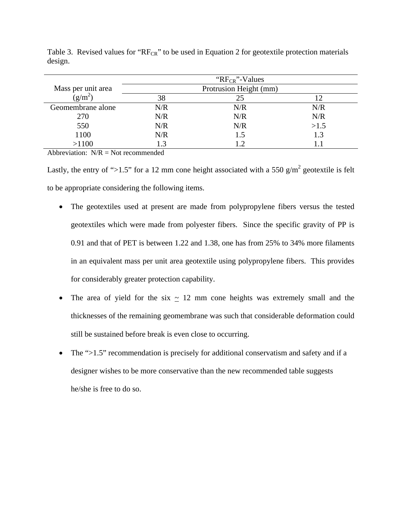|                    |                        | " $RF_{CR}$ "-Values" |      |  |  |
|--------------------|------------------------|-----------------------|------|--|--|
| Mass per unit area | Protrusion Height (mm) |                       |      |  |  |
| $(g/m^2)$          | 38                     | 25                    | 12   |  |  |
| Geomembrane alone  | N/R                    | N/R                   | N/R  |  |  |
| 270                | N/R                    | N/R                   | N/R  |  |  |
| 550                | N/R                    | N/R                   | >1.5 |  |  |
| 1100               | N/R                    | 1.5                   | 1.3  |  |  |
| >1100              | 1.3                    | 1.2                   |      |  |  |

Table 3. Revised values for " $RF_{CR}$ " to be used in Equation 2 for geotextile protection materials design.

Abbreviation:  $N/R = Not recommended$ 

Lastly, the entry of ">1.5" for a 12 mm cone height associated with a 550  $g/m^2$  geotextile is felt to be appropriate considering the following items.

- The geotextiles used at present are made from polypropylene fibers versus the tested geotextiles which were made from polyester fibers. Since the specific gravity of PP is 0.91 and that of PET is between 1.22 and 1.38, one has from 25% to 34% more filaments in an equivalent mass per unit area geotextile using polypropylene fibers. This provides for considerably greater protection capability.
- The area of yield for the six  $\sim$  12 mm cone heights was extremely small and the thicknesses of the remaining geomembrane was such that considerable deformation could still be sustained before break is even close to occurring.
- The ">1.5" recommendation is precisely for additional conservatism and safety and if a designer wishes to be more conservative than the new recommended table suggests he/she is free to do so.